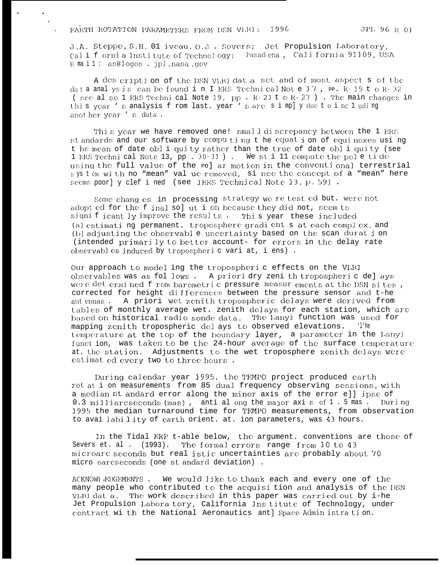JPI, 96 R 01

J.A. Steppe, S.H. 01 iveau, O.J. Sovers; Jet Propulsion Laboratory, California Institute of Technology; Pasadena, California 91109, USA  $F$  mail: as@logos . ipl.nasa.gov

A des cription of the DSN VLBI dat a set and of most aspect s of the data analysis can be found in I ERS Technical Not e 17, pp. R-19 to R-32 (see also 1 ERS Technical Note 19, pp. R-21 t o R-27). The main changes in this year 's analysis from last. year 's are simply due to including anot her year 's data.

This year we have removed one! small discrepancy between the 1 FRS st andards and our software by computing t he equat i on of equinoxes using t he mean of date obl i quity rather than the true of date obl i quity (see 1 ERS Technical Note 13, pp. 30-31). We st i 11 compute the pole tide using the full value of the pol ar motion in the conventional terrestrial system with no "mean" val ue removed, si noe the concept of a "mean" here seems poor] y clef i ned (see IERS Technical Note 13, p. 59).

Some changes in processing strategy we re test ed but. were not adopt ed for the f inal sol ut i on because they did not, seem to significantly improve the results. This year these included (a) estimati ng permanent. troposphere gradient s at each complex, and (b) adjusting the observable uncertainty based on the scan durat i on (intended primarily to better account- for errors in the delay rate observables induced by tropospheric vari at, i ens).

Our approach to model ing the tropospheri c effects on the VLBI observables was as fol lows. A priori dry zeni th tropospheric del ays were det ermined f rom barometric pressure measur ements at the DSN sites, corrected for height differences between the pressure sensor and t-he A priori wet zenith tropospheric delays were derived from ant ennas. tables of monthly average wet. zenith delays for each station, which are based on historical radio sonde data. The Lanyi function was used for mapping zenith tropospheric del ays to observed elevations. 'l'he temperature at the top of the boundary layer, a parameter in the Lanyi funct ion, was taken to be the 24-hour average of the surface temperature at. the station. Adjustments to the wet troposphere zenith delays were estimat ed every two to three hours.

During calendar year 1995, the TEMPO project produced earth rot at i on measurements from 85 dual frequency observing sessions, with a median st andard error along the minor axis of the error ell ipse of 0.3 milliarcseconds (mas), anti al ong the major axi s of 1.5 mas. During<br>1995 the median turnaround time for TEMPO measurements, from observation to availability of earth orient. at. ion parameters, was 43 hours.

In the Tidal ERP t-able below, the argument, conventions are those of Severs et. al. (1993). The formal errors range from 10 to 43 microarc seconds but real istic uncertainties are probably about 70 micro oarcseconds (one st andard deviation).

ACKNOWL EDGEMENTS. We would like to thank each and every one of the many people who contributed to the acquisi tion and analysis of the DSN VIBI dat a. The work described in this paper was carried out by i-he Jet Propulsion Labora tory, California Institute of Technology, under contract wi th the National Aeronautics ant] Space Admin istra tion.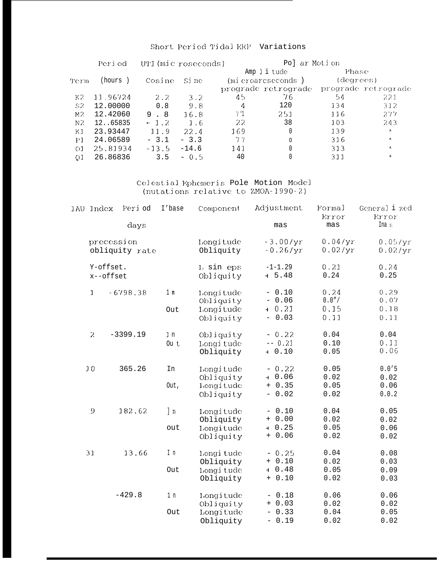## Short Period Tidal ERP Variations

|                | Period   |         | UT1 (mic roseconds) |                | Po] ar Motion                           |     |                    |  |
|----------------|----------|---------|---------------------|----------------|-----------------------------------------|-----|--------------------|--|
|                | (hours)  |         |                     |                | Amp ] i tude<br>$(m)$ croarcseconds)    |     | Phase<br>(degrees) |  |
| Term           |          | Cosine  | Si ne               |                |                                         |     |                    |  |
|                |          |         |                     |                | prograde retrograde prograde retrograde |     |                    |  |
| K2             | 11.96724 | 2.2     | 3.2 <sub>1</sub>    | 45             | 76                                      | 54  | 221                |  |
| S2             | 12,00000 | 0.8     | 9.8                 | 4              | 120                                     | 134 | 312                |  |
| M <sub>2</sub> | 12.42060 | 9.8     | 16.8                | 7 <sup>1</sup> | 251                                     | 116 | 277                |  |
| N2             | 1265835  | $-1.2$  | 1.6                 | -22.           | 38                                      | 103 | 243                |  |
| K <sub>1</sub> | 23.93447 | 11.9    | 22.4                | 169            | 0                                       | 139 | $\star$            |  |
| P1             | 24.06589 | $-3.1$  | $-3.3$              | 77             | $\circ$                                 | 316 | $\star$            |  |
| $\Omega$       | 25.81934 | $-13.5$ | $-14.6$             | 141            | 0                                       | 313 | $\star$            |  |
| O1             | 26.86836 | 3.5     | $-0.5$              | 40             |                                         | 311 | $\star$            |  |

Celestial Ephemeris Pole Motion Model<br>(nutations relative to ZMOA-1990-2)

|  | IAU Index                                                                                                                                                                                                                                                                                                                                                                                                                                                | Peri od        | I'base          | Component  | Adjustment | Formal<br>Error | General i zed<br>Error |
|--|----------------------------------------------------------------------------------------------------------------------------------------------------------------------------------------------------------------------------------------------------------------------------------------------------------------------------------------------------------------------------------------------------------------------------------------------------------|----------------|-----------------|------------|------------|-----------------|------------------------|
|  |                                                                                                                                                                                                                                                                                                                                                                                                                                                          | days           |                 |            | mas        | mas             | Ina s                  |
|  | precession                                                                                                                                                                                                                                                                                                                                                                                                                                               |                |                 | Longitude  | $-3.00/yr$ | 0.04/yr         | 0.05/yr                |
|  |                                                                                                                                                                                                                                                                                                                                                                                                                                                          | obliquity rate |                 | Obliquity  | $-0.26/yr$ | 0.02/yr         | 0.02/yr                |
|  | Y-offset.                                                                                                                                                                                                                                                                                                                                                                                                                                                |                |                 | L sin eps  | $-1-1.29$  | 0.21            | 0.24                   |
|  | x--offset                                                                                                                                                                                                                                                                                                                                                                                                                                                |                |                 | Obliquity  | $+ 5.48$   | 0.24            | 0.25                   |
|  | $\mathbf{1}$                                                                                                                                                                                                                                                                                                                                                                                                                                             | $-6798.38$     | 1 <sub>n</sub>  | Longitude  | $-0.10$    | 0.24            | 0.29                   |
|  |                                                                                                                                                                                                                                                                                                                                                                                                                                                          |                |                 | Obliquity  | $-0.06$    | 0.0"            | $0.07\,$               |
|  |                                                                                                                                                                                                                                                                                                                                                                                                                                                          |                | Out             | Longitude  | $+0.21$    | 0.15            | 0.18                   |
|  |                                                                                                                                                                                                                                                                                                                                                                                                                                                          |                |                 | Obliguity  | $-0.03$    | 0.11            | 0.11                   |
|  | $\overline{2}$                                                                                                                                                                                                                                                                                                                                                                                                                                           | $-3399.19$     | $\mathbbm{1}$ n | Obliquity  | $-0.22$    | 0.04            | 0.04                   |
|  |                                                                                                                                                                                                                                                                                                                                                                                                                                                          |                | Ou t            | Longi tude | $-- 0.21$  | 0.10            | 0.11                   |
|  |                                                                                                                                                                                                                                                                                                                                                                                                                                                          |                |                 | Obliquity  | $-10.10$   | 0.05            | 0.06                   |
|  | 10                                                                                                                                                                                                                                                                                                                                                                                                                                                       | 365.26         | In              | Longitude  | $-0.22$    | 0.05            | 0.0'5                  |
|  |                                                                                                                                                                                                                                                                                                                                                                                                                                                          |                |                 | Obliquity  | $+ 0.06$   | 0.02            | 0.02                   |
|  |                                                                                                                                                                                                                                                                                                                                                                                                                                                          |                | Out,            | Longitude  | $+ 0.35$   | 0.05            | 0.06                   |
|  |                                                                                                                                                                                                                                                                                                                                                                                                                                                          |                |                 | Obliquity  | $-0.02$    | 0.02            | 0.0.2                  |
|  | $\mathsf{S}% _{T}=\mathsf{S}_{T}\!\left( a,b\right) ,\ \mathsf{S}_{T}=\mathsf{S}_{T}\!\left( a,b\right) ,\ \mathsf{S}_{T}=\mathsf{S}_{T}\!\left( a,b\right) ,\ \mathsf{S}_{T}=\mathsf{S}_{T}\!\left( a,b\right) ,\ \mathsf{S}_{T}=\mathsf{S}_{T}\!\left( a,b\right) ,\ \mathsf{S}_{T}=\mathsf{S}_{T}\!\left( a,b\right) ,\ \mathsf{S}_{T}=\mathsf{S}_{T}\!\left( a,b\right) ,\ \mathsf{S}_{T}=\mathsf{S}_{T}\!\left( a,b\right) ,\ \mathsf{S}_{T}=\math$ | 182.62         | $\ln$           | Longitude  | $-0.10$    | 0.04            | 0.05                   |
|  |                                                                                                                                                                                                                                                                                                                                                                                                                                                          |                |                 | Obliquity  | $+ 0.00$   | 0.02            | 0.02                   |
|  |                                                                                                                                                                                                                                                                                                                                                                                                                                                          |                | out             | Longitude  | $+ 0.25$   | 0.05            | 0.06                   |
|  |                                                                                                                                                                                                                                                                                                                                                                                                                                                          |                |                 | Obliquity  | $+ 0.06$   | 0.02            | 0.02                   |
|  | 31                                                                                                                                                                                                                                                                                                                                                                                                                                                       | 13.66          | I n             | Longi tude | $-0.25$    | 0.04            | 0.08                   |
|  |                                                                                                                                                                                                                                                                                                                                                                                                                                                          |                |                 | Obliquity  | $+ 0.10$   | 0.02            | 0.03                   |
|  |                                                                                                                                                                                                                                                                                                                                                                                                                                                          |                | Out             | Longi tude | $+ 0.48$   | 0.05            | 0.09                   |
|  |                                                                                                                                                                                                                                                                                                                                                                                                                                                          |                |                 | Obliquity  | $+ 0.10$   | 0.02            | 0.03                   |
|  |                                                                                                                                                                                                                                                                                                                                                                                                                                                          | $-429.8$       | 1 <sub>n</sub>  | Longitude  | $-0.18$    | 0.06            | 0.06                   |
|  |                                                                                                                                                                                                                                                                                                                                                                                                                                                          |                |                 | Obliquity  | $+ 0.03$   | 0.02            | 0.02                   |
|  |                                                                                                                                                                                                                                                                                                                                                                                                                                                          |                | Out             | Longitude  | $-0.33$    | 0.04            | 0.05                   |
|  |                                                                                                                                                                                                                                                                                                                                                                                                                                                          |                |                 | Obliquity  | $-0.19$    | 0.02            | 0.02                   |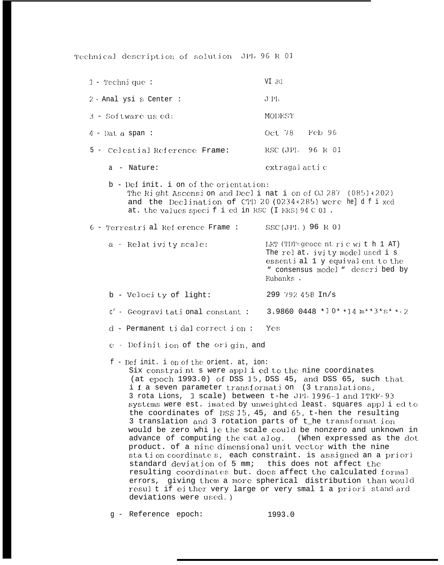Technical description of solution JPL 96 R 01

| $1$ - Technique:                                                                                                                                                                                                                                                                        | VI BI                                                                                                                                                                                                                                                                                                                                    |
|-----------------------------------------------------------------------------------------------------------------------------------------------------------------------------------------------------------------------------------------------------------------------------------------|------------------------------------------------------------------------------------------------------------------------------------------------------------------------------------------------------------------------------------------------------------------------------------------------------------------------------------------|
| 2 - Anal ysi s Center :                                                                                                                                                                                                                                                                 | J PL                                                                                                                                                                                                                                                                                                                                     |
| 3 - Software us ed:                                                                                                                                                                                                                                                                     | MODEST                                                                                                                                                                                                                                                                                                                                   |
| $4$ - Dat a span:                                                                                                                                                                                                                                                                       | Oct 78 Feb 96                                                                                                                                                                                                                                                                                                                            |
| 5 - Celestial Reference Frame:                                                                                                                                                                                                                                                          | RSC (JPL 96 R 01                                                                                                                                                                                                                                                                                                                         |
| a - Nature:                                                                                                                                                                                                                                                                             | extragal actic                                                                                                                                                                                                                                                                                                                           |
| b - Def init. i on of the orientation:<br>The Right Ascension and Declination of 0J 287 (0851+202)<br>and the Declination of CTD 20 (0234+285) were held f i xed<br>at. the values specified in RSC (I FRS) 94 C 01.                                                                    |                                                                                                                                                                                                                                                                                                                                          |
| 6 - Terrestri al Ref erence Frame :                                                                                                                                                                                                                                                     | SSC(JPL) 96 R 01                                                                                                                                                                                                                                                                                                                         |
| a - Relat ivi ty scale:                                                                                                                                                                                                                                                                 | LET (TDT=geocent ric with 1 AT)<br>The relat. ivity model used i s<br>essential 1 y equivalent to the<br>" consensus model " descri bed by<br>Eubanks.                                                                                                                                                                                   |
| b - Velocity of light:                                                                                                                                                                                                                                                                  | 299 792 458 In/s                                                                                                                                                                                                                                                                                                                         |
| $c'$ - Geogravitational constant: 3.9860 0448 *10* *14 $m**3*s**2$                                                                                                                                                                                                                      |                                                                                                                                                                                                                                                                                                                                          |
| $d$ - Permanent tidal correct ion:                                                                                                                                                                                                                                                      | Yes                                                                                                                                                                                                                                                                                                                                      |
| e - Definit ion of the origin, and                                                                                                                                                                                                                                                      |                                                                                                                                                                                                                                                                                                                                          |
| f - Def init. i on of the orient. at, ion:<br>Six constraint s were applied to the nine coordinates<br>i f a seven parameter transformation (3 translations,<br>3 rota Lions, 1 scale) between t-he JPI, 1996-1 and ITRF-93<br>3 translation and 3 rotation parts of the transformation | (at epoch 1993.0) of DSS 15, DSS 45, and DSS 65, such that<br>systems were est. imated by unweighted least. squares applied to<br>the coordinates of DSS $15$ , $45$ , and $65$ , t-hen the resulting<br>would be zero whi le the scale could be nonzero and unknown in<br>advance of computing the cat alog. (When expressed as the dot |

product. of a nine dimensional unit vector with the nine station coordinates, each constraint. is assigned an a priori standard deviation of 5 mm; this does not affect the resulting coordinates but. does affect the calculated formal errors, giving them a more spherical distribution than would result if either very large or very smal 1 a priori stand ard deviations were used.)

g - Reference epoch: 1993.0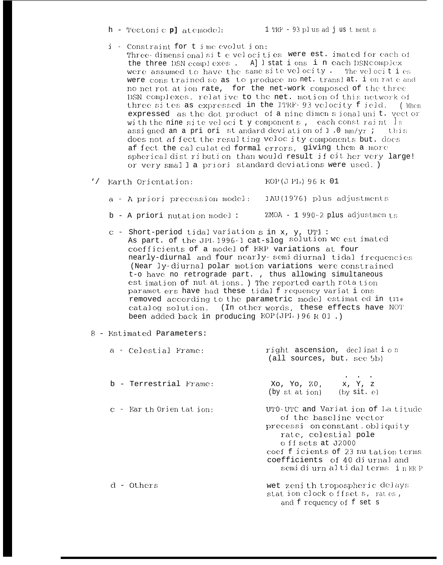$h$  - Tectonic platemodel:

- i Constraint for t i me evolut i on: Three-dimensional sit e velocities were est. imated for each of the three DSN complexes. All stat i ons in each DSN complex were assumed to have the same site velocity. The velocities were constrained so as to produce no net. translat. i on rate and no net rot at ion rate, for the net-work composed of the three
	- DSN complexes, relative to the net. motion of this network of three sites as expressed in the ITRF-93 velocity field. (When expressed as the dot product of a nine dimensional unit. vector with the nine site velocity components, each constraint Is assigned an a pri ori st and ard deviation of  $1.0 \text{ mm/yr}$ ; this does not affect the resulting velocity components but. does af fect the calculated formal errors, giving them a more spherical dist ribution than would result if eit her very large! or very small a priori standard deviations were used.)
- '/ Earth Orientation: EOP(JPL) 96 R 01
	- a A priori precession model: IAU(1976) plus adjustments
	- $ZMOA 1$  990-2 plus adjustments b - A priori nutation model:
	- $c$  Short-period tidal variation s in x, y, UT1 : As part. of the JPL 1996-1 cat-slog solution we est imated coefficients of a model of ERP variations at four nearly-diurnal and four nearly-semidiurnal tidal frequencies (Near ly-diurnal polar motion variations were constrained t-o have no retrograde part. , thus allowing simultaneous est imation of nut at ions.) The reported earth rota tion paramet ers have had these tidalf requency variat i ons removed according to the parametric model estimated in the catalog solution. (In other words, these effects have NOT been added back in producing  $EOP(JPI)$  ) 96 R 01.)
- 8 Estimated Parameters:

| a - Celestial Frame:        | right ascension, declination<br>(all sources, but. see 5b)                                                                                                                                                                                                |
|-----------------------------|-----------------------------------------------------------------------------------------------------------------------------------------------------------------------------------------------------------------------------------------------------------|
| b - Terrestrial Frame:      | Xo, Yo, Z0, x, Y, z<br>(by st at ion) (by sit. $e$ )                                                                                                                                                                                                      |
| $c -$ Ear th Orien tat ion: | UTO-UTC and Variat ion of La titude<br>of the baseline vector<br>precessi on constant, obliquity<br>rate, celestial pole<br>off sets at J2000<br>coef f icients of 23 nu tation terms<br>coefficients of 40 di urnal and<br>semidiurn altidalterms in ERP |
| d – Others                  | wet zeni th tropospheric delays<br>station clock offset s, rates,<br>and f requency of f set s                                                                                                                                                            |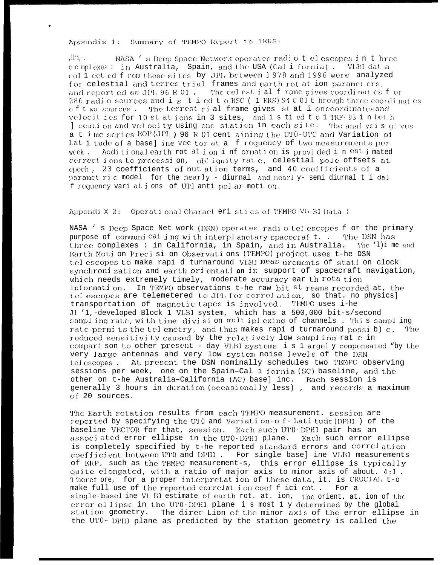Appendix 1: Summary of TEMPO Report to IERS:

NASA 's Deep Space Network operates radio t elescopes in t hree complexes: in Australia, Spain, and the USA (Cali fornia). VLBI dat a col 1 ect ed f rom these sites by JPL between 1978 and 1996 were analyzed for celestial and terres trial frames and earth rot at ion paramet ers, and reported as JPL 96 R 01. The celest ial frame gives coordinates for 286 radio sources and is tied to RSC (1 ERS) 94 C 01 t hrough three coordinates of two sources. The terrest rial frame gives stat i oncoordinates and velocities for 10 st at ions in 3 sites, and is tied to 1 TRF-93 in both location and velocity using one station in each site. The analysis gives a t i me series EOP(JPL) 96 R 01 cent aining the UT0-UTC and Variation of Lat i tude of a base] ine vec tor at a f requency of two measurements per Additional earth rot at ion i nf ormation is provided in est imated week. correct ions to precession, obliquity rate, celestial pole offsets at epoch, 23 coefficients of nut ation terms, and 40 coefficients of a paramet ric model for the nearly - diurnal and nearly-semi diurnal t i dal f requency vari at i ons of UTI anti pol ar moti on.

Appendix 2: Operational Charact eri stics of TEMPO VI BI Data:

NASA 's Deep Space Net work (DSN) operates radiotelescopes for the primary purpose of communicating with interplanetary spacecraf t.. The DSN has three complexes : in California, in Spain, and in Australia. The 'l) ime and Earth Moti on Precisi on Observati ons (TEMPO) project uses t-he DSN telescopes to make rapi d turnaround VLBI meas urements of station clock synchronization and earth orientation in support of spacecraft navigation, which needs extremely timely, moderate accuracy ear th rota tion information. In TEMPO observations t-he raw bit st reams recorded at, the tel escopes are telemetered to JPL for correl ation, so that. no physics] transportation of magnetic tapes is involved. TEMPO uses i-he Jl '1,-developed Block 1 VLBI system, which has a 500,000 bit-s/second sampling rate, with time-division multiplexing of channels. This sampling rate permits the telemetry, and thus makes rapid turnaround possib) e. The reduced sensitivity caused by the relatively low sampling rat e in comparison to other present - day VLBI systems is 1 argely compensated "by the very large antennas and very low system noise levels of the DSN telescopes. At present the DSN nominally schedules two TEMPO observing sessions per week, one on the Spain-Cal i fornia (SC) baseline, and the other on t-he Australia-California (AC) base] inc. Each session is generally 3 hours in duration (occasionally less), and records a maximum of 20 sources.

The Earth rotation results from each TEMPO measurement. session are reported by specifying the UTO and Variation-of-Latitude (DPHI) of the baseline VFCTOR for that, session. Each such UT0-DPHI pair has an associated error ellipse in the UTO-DPHI plane. Each such error ellipse is completely specified by t-he reported standard errors and correl ation coefficient between UT0 and DPHI. For single base] ine VLBI measurements of ERP, such as the TEMPO measurement-s, this error ellipse is typically quite elongated, with a ratio of major axis to minor axis of about. 4:1. Theref ore, for a proper interpretation of these data, it. is CRUCIAL t-o make full use of the reported correlat ion coef f ici ent. For a single-basel ine VL BI estimate of earth rot. at. ion, the orient. at. ion of the error ellipse in the UTO-DPHI plane i s most 1 y determined by the global station geometry. The direc Lion of the minor axis of the error ellipse in the UTO- DPHI plane as predicted by the station geometry is called the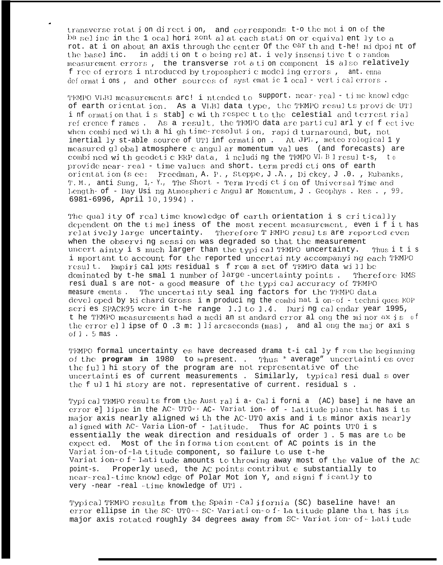transverse rotat i on direct i on, and corresponds t-o the mot i on of the ba sel ine in the 1 ocal hori zont all at each station or equival ently to a rot, at i on about an axis through the center of the ear th and t-he! midpoint of in addition to being relat. i vely insensitive to random the basel inc. measurement errors, the transverse rot a tion component is also relatively f ree of errors i ntroduced by tropospheric modeling errors, ant. enna deformations, and other sources of systematic 1 ocal-vertical errors.

TEMPO VLBI measurements arc! i ntended to support. near-real - time knowledge of earth orientation. As a VLBI data type, the TEMPO results provide UTI information that is stable with respect to the celestial and terrest rial reference frames. As a result, the TEMPO data are particularly effective when combined with a high time-resolution, rapid turnaround, but, not inertial ly st-able source of UT1 inf ormation. At JPL, meteo rological 1 y measured qlobal atmosphere c angular momentum values (and forecasts) are combi ned with geodetic ERP data, i noluding the TEMPO VL B I result-s, to provide near-real - time values and short, term predictions of earth orientation (see: Freedman, A. P., Steppe, J.A., Dickey, J.O., Eubanks, T.M., anti Sung, 1,-Y., The Short - Term Prediction of Universal Time and Length- of - Day Usi ng Atmospheric Angul ar Momentum, J. Geophys. Res., 99, 6981-6996, April 10, 1994).

The quality of realtime knowledge of earth orientation i s critically dependent on the timel iness of the most recent measurement, even if it has relat ively large uncertainty. Therefore T EMPO results are reported even when the observing session was degraded so that the measurement uncert ainty i s much larger than the typi cal TEMPO uncertainty. Thus it is i mportant to account for the reported uncertainty accompanying each TEMPO result. Empirical RMS residual s f rom a set of TEMPO data will be dominated by t-he smal 1 number of large -uncertainty points. Therefore RMS resi dual s are not- a good measure of the typi cal accuracy of TEMPO measure ements. The uncertainty seal ing factors for the TEMPO data devel oped by Ri chard Gross in producing the combination-of - techniques EOP seri es SPACE95 were in t-he range 1.1 to 1.4. Duri ng calendar year 1995, t he TEMPO measurements had a medi an st andard error al ong the minor  $ax is of$ the error ellipse of  $\circ$  .3 m: lliarcseconds (mas), and along the major axis of  $1.5$  mas.

TEMPO formal uncertainty es have decreased drama t-i cal ly f rom the beginning of the **program in** 1980 to hepresent. . Thus " average" uncertainties over the full hi story of the program are not representative of the uncertainti es of current measurements . Similarly, typical resi dual s over the f ul 1 hi story are not. representative of current. residual s .

Typical TEMPO results from the Australia-Cali fornia (AC) basel ine have an error e] lipse in the AC-UTO-- AC- Variat ion- of - Latitude plane that has i ts major axis nearly aligned with the AC-UTO axis and i ts minor axis nearly aligned with AC-Varia Lion-of - Latitude. Thus for AC points UTO i s essentially the weak direction and residuals of order 1. 5 mas are to be expected. Most of the in formation content of AC points is in the Variat ion-of-La titude component, so failure to use t-he Variat ion-o f- Lati tude amounts to throwing away most of the value of the AC point-s. Properly used, the AC points contribut e substantially to near-real-time knowledge of Polar Mot ion Y, and significantly to very -near -real -time knowledge of UT1.

Typical TEMPO results from the Spain-California (SC) baseline have! an error ellipse in the SC-UTO--SC-Variation-of-Latitude plane that has its major axis rotated roughly 34 degrees away from SC-Variat ion- of-Latitude